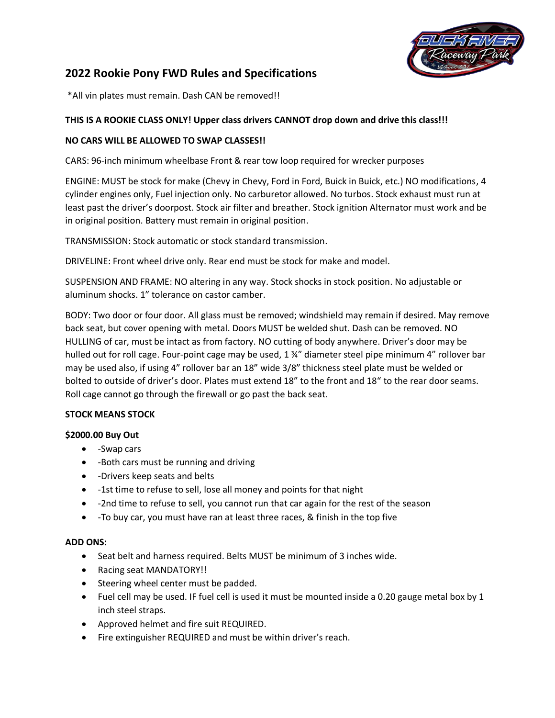

# **2022 Rookie Pony FWD Rules and Specifications**

\*All vin plates must remain. Dash CAN be removed!!

#### **THIS IS A ROOKIE CLASS ONLY! Upper class drivers CANNOT drop down and drive this class!!!**

#### **NO CARS WILL BE ALLOWED TO SWAP CLASSES!!**

CARS: 96-inch minimum wheelbase Front & rear tow loop required for wrecker purposes

ENGINE: MUST be stock for make (Chevy in Chevy, Ford in Ford, Buick in Buick, etc.) NO modifications, 4 cylinder engines only, Fuel injection only. No carburetor allowed. No turbos. Stock exhaust must run at least past the driver's doorpost. Stock air filter and breather. Stock ignition Alternator must work and be in original position. Battery must remain in original position.

TRANSMISSION: Stock automatic or stock standard transmission.

DRIVELINE: Front wheel drive only. Rear end must be stock for make and model.

SUSPENSION AND FRAME: NO altering in any way. Stock shocks in stock position. No adjustable or aluminum shocks. 1" tolerance on castor camber.

BODY: Two door or four door. All glass must be removed; windshield may remain if desired. May remove back seat, but cover opening with metal. Doors MUST be welded shut. Dash can be removed. NO HULLING of car, must be intact as from factory. NO cutting of body anywhere. Driver's door may be hulled out for roll cage. Four-point cage may be used, 1 34" diameter steel pipe minimum 4" rollover bar may be used also, if using 4" rollover bar an 18" wide 3/8" thickness steel plate must be welded or bolted to outside of driver's door. Plates must extend 18" to the front and 18" to the rear door seams. Roll cage cannot go through the firewall or go past the back seat.

#### **STOCK MEANS STOCK**

#### **\$2000.00 Buy Out**

- -Swap cars
- -Both cars must be running and driving
- -Drivers keep seats and belts
- -1st time to refuse to sell, lose all money and points for that night
- -2nd time to refuse to sell, you cannot run that car again for the rest of the season
- -To buy car, you must have ran at least three races, & finish in the top five

#### **ADD ONS:**

- Seat belt and harness required. Belts MUST be minimum of 3 inches wide.
- Racing seat MANDATORY!!
- Steering wheel center must be padded.
- Fuel cell may be used. IF fuel cell is used it must be mounted inside a 0.20 gauge metal box by 1 inch steel straps.
- Approved helmet and fire suit REQUIRED.
- Fire extinguisher REQUIRED and must be within driver's reach.